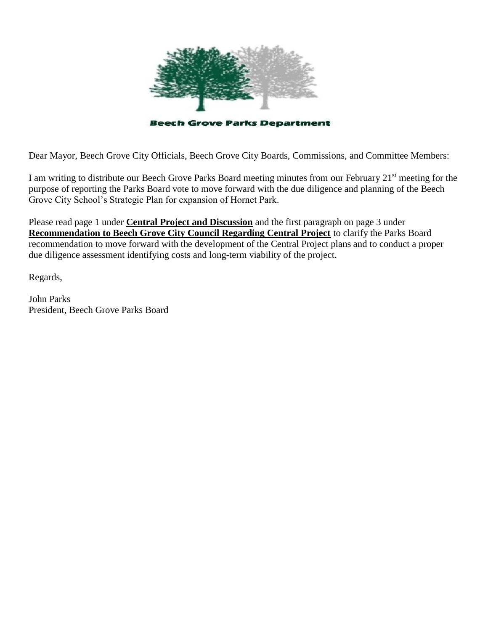

Dear Mayor, Beech Grove City Officials, Beech Grove City Boards, Commissions, and Committee Members:

I am writing to distribute our Beech Grove Parks Board meeting minutes from our February 21st meeting for the purpose of reporting the Parks Board vote to move forward with the due diligence and planning of the Beech Grove City School's Strategic Plan for expansion of Hornet Park.

Please read page 1 under **Central Project and Discussion** and the first paragraph on page 3 under **Recommendation to Beech Grove City Council Regarding Central Project** to clarify the Parks Board recommendation to move forward with the development of the Central Project plans and to conduct a proper due diligence assessment identifying costs and long-term viability of the project.

Regards,

John Parks President, Beech Grove Parks Board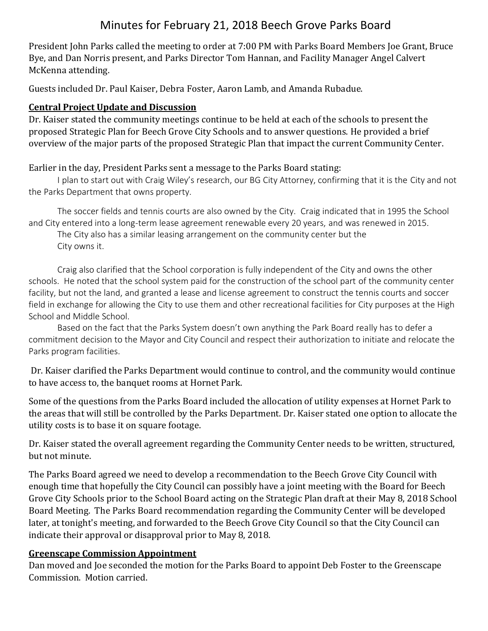# Minutes for February 21, 2018 Beech Grove Parks Board

President John Parks called the meeting to order at 7:00 PM with Parks Board Members Joe Grant, Bruce Bye, and Dan Norris present, and Parks Director Tom Hannan, and Facility Manager Angel Calvert McKenna attending.

Guests included Dr. Paul Kaiser, Debra Foster, Aaron Lamb, and Amanda Rubadue.

### **Central Project Update and Discussion**

Dr. Kaiser stated the community meetings continue to be held at each of the schools to present the proposed Strategic Plan for Beech Grove City Schools and to answer questions. He provided a brief overview of the major parts of the proposed Strategic Plan that impact the current Community Center.

Earlier in the day, President Parks sent a message to the Parks Board stating:

I plan to start out with Craig Wiley's research, our BG City Attorney, confirming that it is the City and not the Parks Department that owns property.

The soccer fields and tennis courts are also owned by the City. Craig indicated that in 1995 the School and City entered into a long-term lease agreement renewable every 20 years, and was renewed in 2015.

The City also has a similar leasing arrangement on the community center but the City owns it.

Craig also clarified that the School corporation is fully independent of the City and owns the other schools. He noted that the school system paid for the construction of the school part of the community center facility, but not the land, and granted a lease and license agreement to construct the tennis courts and soccer field in exchange for allowing the City to use them and other recreational facilities for City purposes at the High School and Middle School.

Based on the fact that the Parks System doesn't own anything the Park Board really has to defer a commitment decision to the Mayor and City Council and respect their authorization to initiate and relocate the Parks program facilities.

Dr. Kaiser clarified the Parks Department would continue to control, and the community would continue to have access to, the banquet rooms at Hornet Park.

Some of the questions from the Parks Board included the allocation of utility expenses at Hornet Park to the areas that will still be controlled by the Parks Department. Dr. Kaiser stated one option to allocate the utility costs is to base it on square footage.

Dr. Kaiser stated the overall agreement regarding the Community Center needs to be written, structured, but not minute.

The Parks Board agreed we need to develop a recommendation to the Beech Grove City Council with enough time that hopefully the City Council can possibly have a joint meeting with the Board for Beech Grove City Schools prior to the School Board acting on the Strategic Plan draft at their May 8, 2018 School Board Meeting. The Parks Board recommendation regarding the Community Center will be developed later, at tonight's meeting, and forwarded to the Beech Grove City Council so that the City Council can indicate their approval or disapproval prior to May 8, 2018.

### **Greenscape Commission Appointment**

Dan moved and Joe seconded the motion for the Parks Board to appoint Deb Foster to the Greenscape Commission. Motion carried.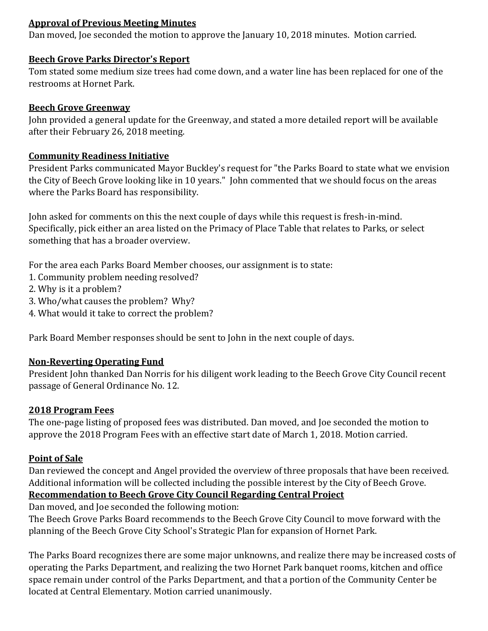### **Approval of Previous Meeting Minutes**

Dan moved, Joe seconded the motion to approve the January 10, 2018 minutes. Motion carried.

### **Beech Grove Parks Director's Report**

Tom stated some medium size trees had come down, and a water line has been replaced for one of the restrooms at Hornet Park.

### **Beech Grove Greenway**

John provided a general update for the Greenway, and stated a more detailed report will be available after their February 26, 2018 meeting.

### **Community Readiness Initiative**

President Parks communicated Mayor Buckley's request for "the Parks Board to state what we envision the City of Beech Grove looking like in 10 years." John commented that we should focus on the areas where the Parks Board has responsibility.

John asked for comments on this the next couple of days while this request is fresh-in-mind. Specifically, pick either an area listed on the Primacy of Place Table that relates to Parks, or select something that has a broader overview.

For the area each Parks Board Member chooses, our assignment is to state:

- 1. Community problem needing resolved?
- 2. Why is it a problem?
- 3. Who/what causes the problem? Why?
- 4. What would it take to correct the problem?

Park Board Member responses should be sent to John in the next couple of days.

### **Non-Reverting Operating Fund**

President John thanked Dan Norris for his diligent work leading to the Beech Grove City Council recent passage of General Ordinance No. 12.

### **2018 Program Fees**

The one-page listing of proposed fees was distributed. Dan moved, and Joe seconded the motion to approve the 2018 Program Fees with an effective start date of March 1, 2018. Motion carried.

### **Point of Sale**

Dan reviewed the concept and Angel provided the overview of three proposals that have been received. Additional information will be collected including the possible interest by the City of Beech Grove.

## **Recommendation to Beech Grove City Council Regarding Central Project**

Dan moved, and Joe seconded the following motion:

The Beech Grove Parks Board recommends to the Beech Grove City Council to move forward with the planning of the Beech Grove City School's Strategic Plan for expansion of Hornet Park.

The Parks Board recognizes there are some major unknowns, and realize there may be increased costs of operating the Parks Department, and realizing the two Hornet Park banquet rooms, kitchen and office space remain under control of the Parks Department, and that a portion of the Community Center be located at Central Elementary. Motion carried unanimously.